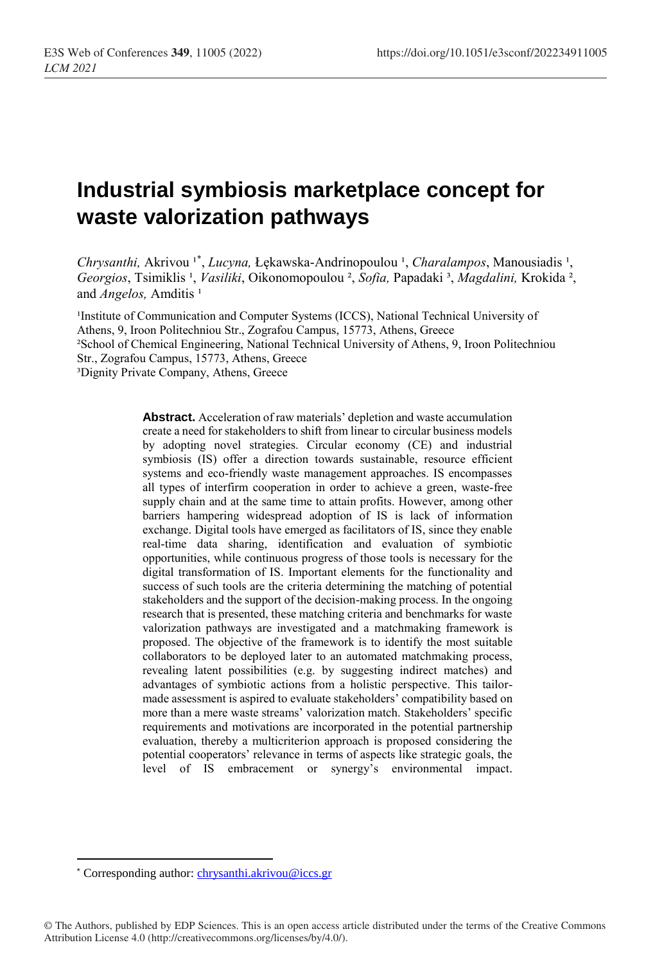# **Industrial symbiosis marketplace concept for waste valorization pathways**

Chrysanthi, Akrivou<sup>1\*</sup>, *Lucyna*, Łękawska-Andrinopoulou<sup>1</sup>, Charalampos, Manousiadis<sup>1</sup>, *Georgios*, Tsimiklis ¹, *Vasiliki*, Oikonomopoulou ², *Sofia,* Papadaki ³, *Magdalini,* Krokida ², and *Angelos*, Amditis<sup>1</sup>

<sup>1</sup>Institute of Communication and Computer Systems (ICCS), National Technical University of Athens, 9, Iroon Politechniou Str., Zografou Campus, 15773, Athens, Greece ²School of Chemical Engineering, National Technical University of Athens, 9, Iroon Politechniou Str., Zografou Campus, 15773, Athens, Greece ³Dignity Private Company, Athens, Greece

> **Abstract.** Acceleration of raw materials' depletion and waste accumulation create a need for stakeholders to shift from linear to circular business models by adopting novel strategies. Circular economy (CE) and industrial symbiosis (IS) offer a direction towards sustainable, resource efficient systems and eco-friendly waste management approaches. IS encompasses all types of interfirm cooperation in order to achieve a green, waste-free supply chain and at the same time to attain profits. However, among other barriers hampering widespread adoption of IS is lack of information exchange. Digital tools have emerged as facilitators of IS, since they enable real-time data sharing, identification and evaluation of symbiotic opportunities, while continuous progress of those tools is necessary for the digital transformation of IS. Important elements for the functionality and success of such tools are the criteria determining the matching of potential stakeholders and the support of the decision-making process. In the ongoing research that is presented, these matching criteria and benchmarks for waste valorization pathways are investigated and a matchmaking framework is proposed. The objective of the framework is to identify the most suitable collaborators to be deployed later to an automated matchmaking process, revealing latent possibilities (e.g. by suggesting indirect matches) and advantages of symbiotic actions from a holistic perspective. This tailormade assessment is aspired to evaluate stakeholders' compatibility based on more than a mere waste streams' valorization match. Stakeholders' specific requirements and motivations are incorporated in the potential partnership evaluation, thereby a multicriterion approach is proposed considering the potential cooperators' relevance in terms of aspects like strategic goals, the level of IS embracement or synergy's environmental impact.

 $\overline{a}$ 

<sup>\*</sup> Corresponding author: [chrysanthi.akrivou@iccs.gr](mailto:chrysanthi.akrivou@iccs.gr)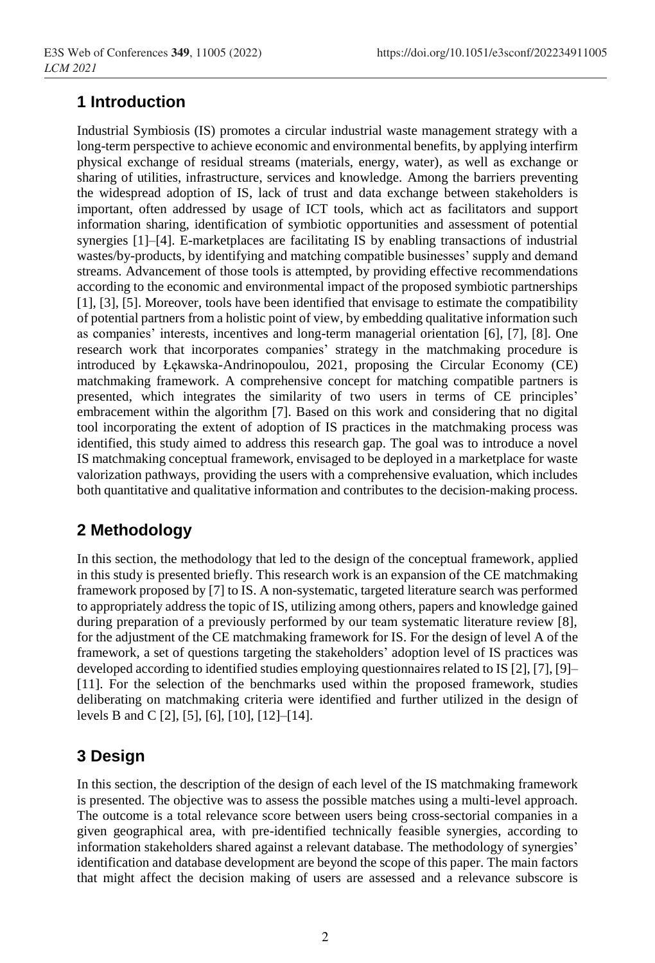# **1 Introduction**

Industrial Symbiosis (IS) promotes a circular industrial waste management strategy with a long-term perspective to achieve economic and environmental benefits, by applying interfirm physical exchange of residual streams (materials, energy, water), as well as exchange or sharing of utilities, infrastructure, services and knowledge. Among the barriers preventing the widespread adoption of IS, lack of trust and data exchange between stakeholders is important, often addressed by usage of ICT tools, which act as facilitators and support information sharing, identification of symbiotic opportunities and assessment of potential synergies [1]–[4]. E-marketplaces are facilitating IS by enabling transactions of industrial wastes/by-products, by identifying and matching compatible businesses' supply and demand streams. Advancement of those tools is attempted, by providing effective recommendations according to the economic and environmental impact of the proposed symbiotic partnerships [1], [3], [5]. Moreover, tools have been identified that envisage to estimate the compatibility of potential partners from a holistic point of view, by embedding qualitative information such as companies' interests, incentives and long-term managerial orientation [6], [7], [8]. One research work that incorporates companies' strategy in the matchmaking procedure is introduced by Łękawska-Andrinopoulou, 2021, proposing the Circular Economy (CE) matchmaking framework. A comprehensive concept for matching compatible partners is presented, which integrates the similarity of two users in terms of CE principles' embracement within the algorithm [7]. Based on this work and considering that no digital tool incorporating the extent of adoption of IS practices in the matchmaking process was identified, this study aimed to address this research gap. The goal was to introduce a novel IS matchmaking conceptual framework, envisaged to be deployed in a marketplace for waste valorization pathways, providing the users with a comprehensive evaluation, which includes both quantitative and qualitative information and contributes to the decision-making process.

## **2 Methodology**

In this section, the methodology that led to the design of the conceptual framework, applied in this study is presented briefly. This research work is an expansion of the CE matchmaking framework proposed by [7] to IS. A non-systematic, targeted literature search was performed to appropriately address the topic of IS, utilizing among others, papers and knowledge gained during preparation of a previously performed by our team systematic literature review [8], for the adjustment of the CE matchmaking framework for IS. For the design of level A of the framework, a set of questions targeting the stakeholders' adoption level of IS practices was developed according to identified studies employing questionnaires related to IS [2], [7], [9]– [11]. For the selection of the benchmarks used within the proposed framework, studies deliberating on matchmaking criteria were identified and further utilized in the design of levels B and C [2], [5], [6], [10], [12]–[14].

# **3 Design**

In this section, the description of the design of each level of the IS matchmaking framework is presented. The objective was to assess the possible matches using a multi-level approach. The outcome is a total relevance score between users being cross-sectorial companies in a given geographical area, with pre-identified technically feasible synergies, according to information stakeholders shared against a relevant database. The methodology of synergies' identification and database development are beyond the scope of this paper. The main factors that might affect the decision making of users are assessed and a relevance subscore is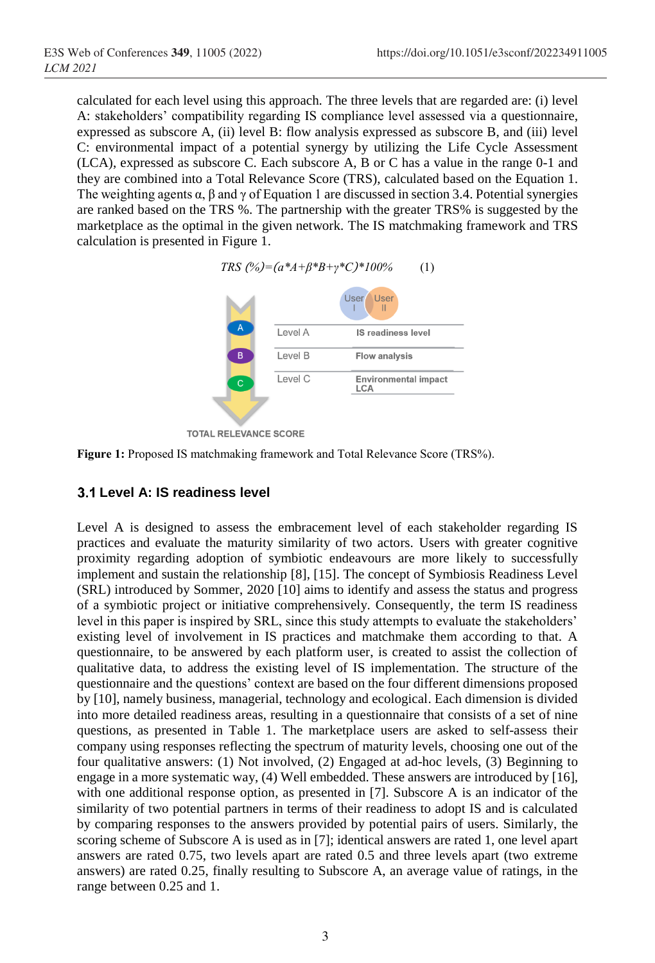calculated for each level using this approach. The three levels that are regarded are: (i) level A: stakeholders' compatibility regarding IS compliance level assessed via a questionnaire, expressed as subscore A, (ii) level B: flow analysis expressed as subscore B, and (iii) level C: environmental impact of a potential synergy by utilizing the Life Cycle Assessment (LCA), expressed as subscore C. Each subscore A, B or C has a value in the range 0-1 and they are combined into a Total Relevance Score (TRS), calculated based on the Equation 1. The weighting agents  $\alpha$ ,  $\beta$  and  $\gamma$  of Equation 1 are discussed in section 3.4. Potential synergies are ranked based on the TRS %. The partnership with the greater TRS% is suggested by the marketplace as the optimal in the given network. The IS matchmaking framework and TRS calculation is presented in [Figure 1.](#page-2-0)



<span id="page-2-0"></span>

#### **Level A: IS readiness level**

Level A is designed to assess the embracement level of each stakeholder regarding IS practices and evaluate the maturity similarity of two actors. Users with greater cognitive proximity regarding adoption of symbiotic endeavours are more likely to successfully implement and sustain the relationship [8], [15]. The concept of Symbiosis Readiness Level (SRL) introduced by Sommer, 2020 [10] aims to identify and assess the status and progress of a symbiotic project or initiative comprehensively. Consequently, the term IS readiness level in this paper is inspired by SRL, since this study attempts to evaluate the stakeholders' existing level of involvement in IS practices and matchmake them according to that. A questionnaire, to be answered by each platform user, is created to assist the collection of qualitative data, to address the existing level of IS implementation. The structure of the questionnaire and the questions' context are based on the four different dimensions proposed by [10], namely business, managerial, technology and ecological. Each dimension is divided into more detailed readiness areas, resulting in a questionnaire that consists of a set of nine questions, as presented in [Table 1.](#page-3-0) The marketplace users are asked to self-assess their company using responses reflecting the spectrum of maturity levels, choosing one out of the four qualitative answers: (1) Not involved, (2) Engaged at ad-hoc levels, (3) Beginning to engage in a more systematic way, (4) Well embedded. These answers are introduced by [16], with one additional response option, as presented in [7]. Subscore A is an indicator of the similarity of two potential partners in terms of their readiness to adopt IS and is calculated by comparing responses to the answers provided by potential pairs of users. Similarly, the scoring scheme of Subscore A is used as in [7]; identical answers are rated 1, one level apart answers are rated 0.75, two levels apart are rated 0.5 and three levels apart (two extreme answers) are rated 0.25, finally resulting to Subscore A, an average value of ratings, in the range between 0.25 and 1.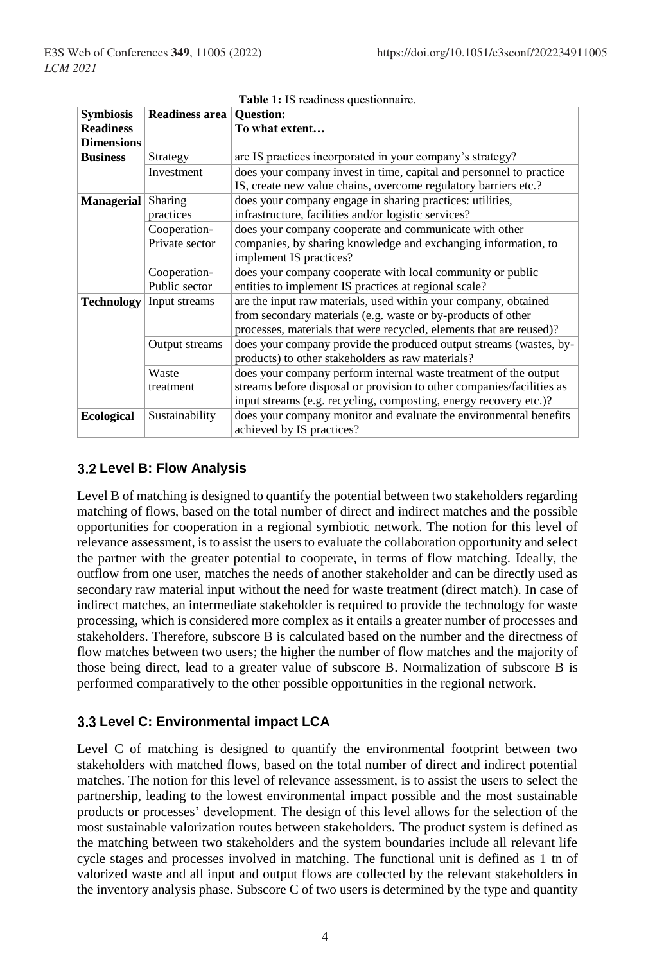<span id="page-3-0"></span>

| <b>Table 1:</b> IS readiness questionnaire. |                                |                                                                                                                                                                                                                |
|---------------------------------------------|--------------------------------|----------------------------------------------------------------------------------------------------------------------------------------------------------------------------------------------------------------|
| <b>Symbiosis</b>                            | Readiness area                 | <b>Ouestion:</b>                                                                                                                                                                                               |
| <b>Readiness</b><br><b>Dimensions</b>       |                                | To what extent                                                                                                                                                                                                 |
| <b>Business</b>                             | Strategy                       | are IS practices incorporated in your company's strategy?                                                                                                                                                      |
|                                             | Investment                     | does your company invest in time, capital and personnel to practice<br>IS, create new value chains, overcome regulatory barriers etc.?                                                                         |
| <b>Managerial</b>                           | Sharing<br>practices           | does your company engage in sharing practices: utilities,<br>infrastructure, facilities and/or logistic services?                                                                                              |
|                                             | Cooperation-<br>Private sector | does your company cooperate and communicate with other<br>companies, by sharing knowledge and exchanging information, to<br>implement IS practices?                                                            |
|                                             | Cooperation-<br>Public sector  | does your company cooperate with local community or public<br>entities to implement IS practices at regional scale?                                                                                            |
| <b>Technology</b>                           | Input streams                  | are the input raw materials, used within your company, obtained<br>from secondary materials (e.g. waste or by-products of other<br>processes, materials that were recycled, elements that are reused)?         |
|                                             | Output streams                 | does your company provide the produced output streams (wastes, by-<br>products) to other stakeholders as raw materials?                                                                                        |
|                                             | Waste<br>treatment             | does your company perform internal waste treatment of the output<br>streams before disposal or provision to other companies/facilities as<br>input streams (e.g. recycling, composting, energy recovery etc.)? |
| <b>Ecological</b>                           | Sustainability                 | does your company monitor and evaluate the environmental benefits<br>achieved by IS practices?                                                                                                                 |

#### **Level B: Flow Analysis**

Level B of matching is designed to quantify the potential between two stakeholders regarding matching of flows, based on the total number of direct and indirect matches and the possible opportunities for cooperation in a regional symbiotic network. The notion for this level of relevance assessment, is to assist the users to evaluate the collaboration opportunity and select the partner with the greater potential to cooperate, in terms of flow matching. Ideally, the outflow from one user, matches the needs of another stakeholder and can be directly used as secondary raw material input without the need for waste treatment (direct match). In case of indirect matches, an intermediate stakeholder is required to provide the technology for waste processing, which is considered more complex as it entails a greater number of processes and stakeholders. Therefore, subscore B is calculated based on the number and the directness of flow matches between two users; the higher the number of flow matches and the majority of those being direct, lead to a greater value of subscore B. Normalization of subscore B is performed comparatively to the other possible opportunities in the regional network.

### **Level C: Environmental impact LCA**

Level C of matching is designed to quantify the environmental footprint between two stakeholders with matched flows, based on the total number of direct and indirect potential matches. The notion for this level of relevance assessment, is to assist the users to select the partnership, leading to the lowest environmental impact possible and the most sustainable products or processes' development. The design of this level allows for the selection of the most sustainable valorization routes between stakeholders. The product system is defined as the matching between two stakeholders and the system boundaries include all relevant life cycle stages and processes involved in matching. The functional unit is defined as 1 tn of valorized waste and all input and output flows are collected by the relevant stakeholders in the inventory analysis phase. Subscore C of two users is determined by the type and quantity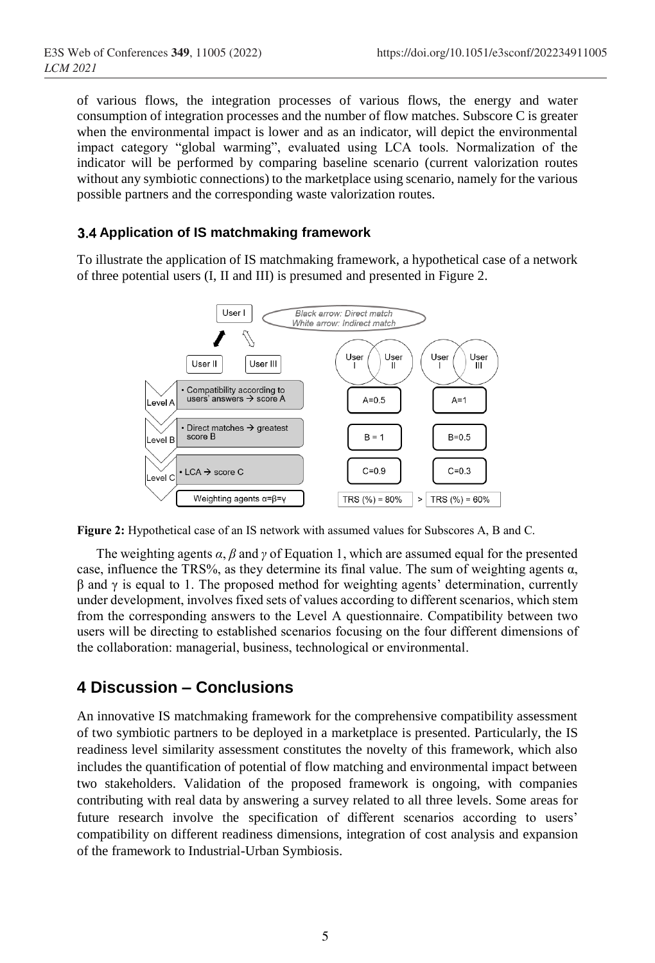of various flows, the integration processes of various flows, the energy and water consumption of integration processes and the number of flow matches. Subscore C is greater when the environmental impact is lower and as an indicator, will depict the environmental impact category "global warming", evaluated using LCA tools. Normalization of the indicator will be performed by comparing baseline scenario (current valorization routes without any symbiotic connections) to the marketplace using scenario, namely for the various possible partners and the corresponding waste valorization routes.

#### **Application of IS matchmaking framework**

To illustrate the application of IS matchmaking framework, a hypothetical case of a network of three potential users (I, II and III) is presumed and presented in [Figure 2.](#page-4-0)



<span id="page-4-0"></span>**Figure 2:** Hypothetical case of an IS network with assumed values for Subscores A, B and C.

The weighting agents *α*, *β* and *γ* of Equation 1, which are assumed equal for the presented case, influence the TRS%, as they determine its final value. The sum of weighting agents  $\alpha$ ,  $β$  and  $γ$  is equal to 1. The proposed method for weighting agents' determination, currently under development, involves fixed sets of values according to different scenarios, which stem from the corresponding answers to the Level A questionnaire. Compatibility between two users will be directing to established scenarios focusing on the four different dimensions of the collaboration: managerial, business, technological or environmental.

### **4 Discussion – Conclusions**

An innovative IS matchmaking framework for the comprehensive compatibility assessment of two symbiotic partners to be deployed in a marketplace is presented. Particularly, the IS readiness level similarity assessment constitutes the novelty of this framework, which also includes the quantification of potential of flow matching and environmental impact between two stakeholders. Validation of the proposed framework is ongoing, with companies contributing with real data by answering a survey related to all three levels. Some areas for future research involve the specification of different scenarios according to users' compatibility on different readiness dimensions, integration of cost analysis and expansion of the framework to Industrial-Urban Symbiosis.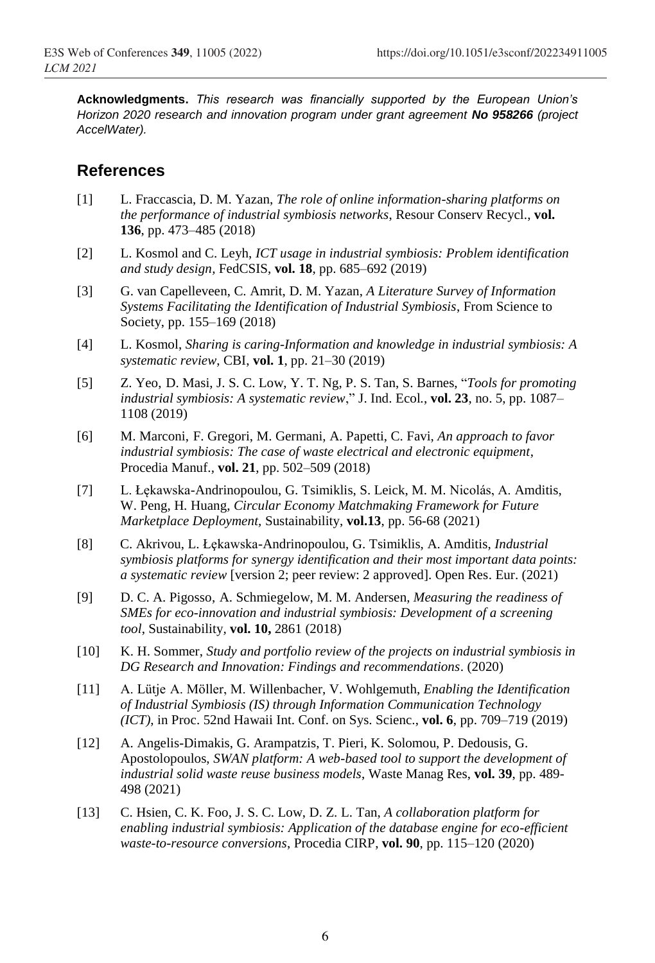**Acknowledgments.** *This research was financially supported by the European Union's Horizon 2020 research and innovation program under grant agreement No 958266 (project AccelWater).*

### **References**

- [1] L. Fraccascia, D. M. Yazan, *The role of online information-sharing platforms on the performance of industrial symbiosis networks*, Resour Conserv Recycl., **vol. 136**, pp. 473–485 (2018)
- [2] L. Kosmol and C. Leyh, *ICT usage in industrial symbiosis: Problem identification and study design,* FedCSIS, **vol. 18**, pp. 685–692 (2019)
- [3] G. van Capelleveen, C. Amrit, D. M. Yazan, *A Literature Survey of Information Systems Facilitating the Identification of Industrial Symbiosis*, From Science to Society, pp. 155–169 (2018)
- [4] L. Kosmol, *Sharing is caring-Information and knowledge in industrial symbiosis: A systematic review*, CBI, **vol. 1**, pp. 21–30 (2019)
- [5] Z. Yeo, D. Masi, J. S. C. Low, Y. T. Ng, P. S. Tan, S. Barnes, "*Tools for promoting industrial symbiosis: A systematic review*," J. Ind. Ecol*.*, **vol. 23**, no. 5, pp. 1087– 1108 (2019)
- [6] M. Marconi, F. Gregori, M. Germani, A. Papetti, C. Favi, *An approach to favor industrial symbiosis: The case of waste electrical and electronic equipment*, Procedia Manuf.*,* **vol. 21**, pp. 502–509 (2018)
- [7] L. Łękawska-Andrinopoulou, G. Tsimiklis, S. Leick, M. M. Nicolás, A. Amditis, W. Peng, H*.* Huang, *Circular Economy Matchmaking Framework for Future Marketplace Deployment,* Sustainability, **vol.13**, pp. 56-68 (2021)
- [8] C. Akrivou, L. Łȩkawska-Andrinopoulou, G. Tsimiklis, A. Amditis, *Industrial symbiosis platforms for synergy identification and their most important data points: a systematic review* [version 2; peer review: 2 approved]. Open Res. Eur. (2021)
- [9] D. C. A. Pigosso, A. Schmiegelow, M. M. Andersen, *Measuring the readiness of SMEs for eco-innovation and industrial symbiosis: Development of a screening tool*, Sustainability*,* **vol. 10,** 2861 (2018)
- [10] K. H. Sommer, *Study and portfolio review of the projects on industrial symbiosis in DG Research and Innovation: Findings and recommendations*. (2020)
- [11] A. Lütje A. Möller, M. Willenbacher, V. Wohlgemuth, *Enabling the Identification of Industrial Symbiosis (IS) through Information Communication Technology (ICT)*, in Proc. 52nd Hawaii Int. Conf. on Sys. Scienc., **vol. 6**, pp. 709–719 (2019)
- [12] A. Angelis-Dimakis, G. Arampatzis, T. Pieri, K. Solomou, P. Dedousis, G. Apostolopoulos, *SWAN platform: A web-based tool to support the development of industrial solid waste reuse business models*, Waste Manag Res, **vol. 39**, pp. 489- 498 (2021)
- [13] C. Hsien, C. K. Foo, J. S. C. Low, D. Z. L. Tan, *A collaboration platform for enabling industrial symbiosis: Application of the database engine for eco-efficient waste-to-resource conversions*, Procedia CIRP, **vol. 90**, pp. 115–120 (2020)